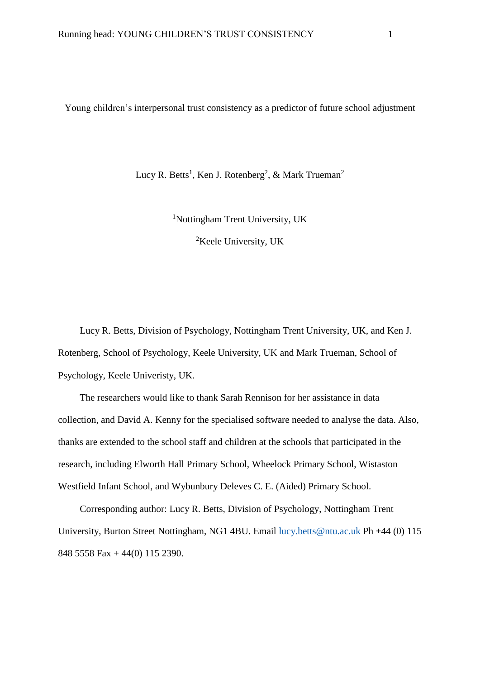Young children's interpersonal trust consistency as a predictor of future school adjustment

Lucy R. Betts<sup>1</sup>, Ken J. Rotenberg<sup>2</sup>, & Mark Trueman<sup>2</sup>

<sup>1</sup>Nottingham Trent University, UK

<sup>2</sup>Keele University, UK

Lucy R. Betts, Division of Psychology, Nottingham Trent University, UK, and Ken J. Rotenberg, School of Psychology, Keele University, UK and Mark Trueman, School of Psychology, Keele Univeristy, UK.

The researchers would like to thank Sarah Rennison for her assistance in data collection, and David A. Kenny for the specialised software needed to analyse the data. Also, thanks are extended to the school staff and children at the schools that participated in the research, including Elworth Hall Primary School, Wheelock Primary School, Wistaston Westfield Infant School, and Wybunbury Deleves C. E. (Aided) Primary School.

Corresponding author: Lucy R. Betts, Division of Psychology, Nottingham Trent University, Burton Street Nottingham, NG1 4BU. Email [lucy.betts@ntu.ac.uk](mailto:lucy.betts@ntu.ac.uk) Ph +44 (0) 115 848 5558 Fax + 44(0) 115 2390.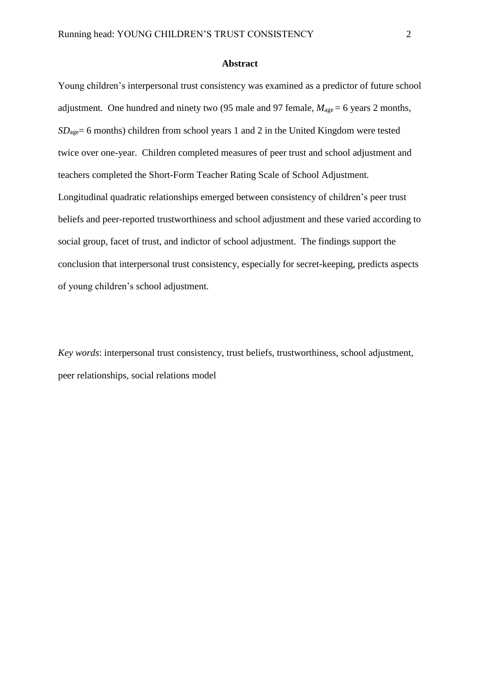#### **Abstract**

Young children's interpersonal trust consistency was examined as a predictor of future school adjustment. One hundred and ninety two (95 male and 97 female,  $M_{\text{age}} = 6$  years 2 months, *SD*<sub>age</sub> = 6 months) children from school years 1 and 2 in the United Kingdom were tested twice over one-year. Children completed measures of peer trust and school adjustment and teachers completed the Short-Form Teacher Rating Scale of School Adjustment. Longitudinal quadratic relationships emerged between consistency of children's peer trust beliefs and peer-reported trustworthiness and school adjustment and these varied according to social group, facet of trust, and indictor of school adjustment. The findings support the conclusion that interpersonal trust consistency, especially for secret-keeping, predicts aspects of young children's school adjustment.

*Key words*: interpersonal trust consistency, trust beliefs, trustworthiness, school adjustment, peer relationships, social relations model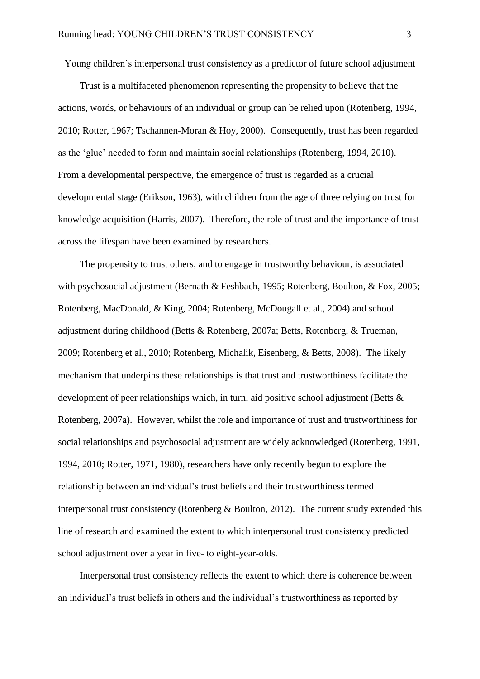Young children's interpersonal trust consistency as a predictor of future school adjustment

Trust is a multifaceted phenomenon representing the propensity to believe that the actions, words, or behaviours of an individual or group can be relied upon (Rotenberg, 1994, 2010; Rotter, 1967; Tschannen-Moran & Hoy, 2000). Consequently, trust has been regarded as the 'glue' needed to form and maintain social relationships (Rotenberg, 1994, 2010). From a developmental perspective, the emergence of trust is regarded as a crucial developmental stage (Erikson, 1963), with children from the age of three relying on trust for knowledge acquisition (Harris, 2007). Therefore, the role of trust and the importance of trust across the lifespan have been examined by researchers.

The propensity to trust others, and to engage in trustworthy behaviour, is associated with psychosocial adjustment (Bernath & Feshbach, 1995; Rotenberg, Boulton, & Fox, 2005; Rotenberg, MacDonald, & King, 2004; Rotenberg, McDougall et al., 2004) and school adjustment during childhood (Betts & Rotenberg, 2007a; Betts, Rotenberg, & Trueman, 2009; Rotenberg et al., 2010; Rotenberg, Michalik, Eisenberg, & Betts, 2008). The likely mechanism that underpins these relationships is that trust and trustworthiness facilitate the development of peer relationships which, in turn, aid positive school adjustment (Betts & Rotenberg, 2007a). However, whilst the role and importance of trust and trustworthiness for social relationships and psychosocial adjustment are widely acknowledged (Rotenberg, 1991, 1994, 2010; Rotter, 1971, 1980), researchers have only recently begun to explore the relationship between an individual's trust beliefs and their trustworthiness termed interpersonal trust consistency (Rotenberg & Boulton, 2012). The current study extended this line of research and examined the extent to which interpersonal trust consistency predicted school adjustment over a year in five- to eight-year-olds.

Interpersonal trust consistency reflects the extent to which there is coherence between an individual's trust beliefs in others and the individual's trustworthiness as reported by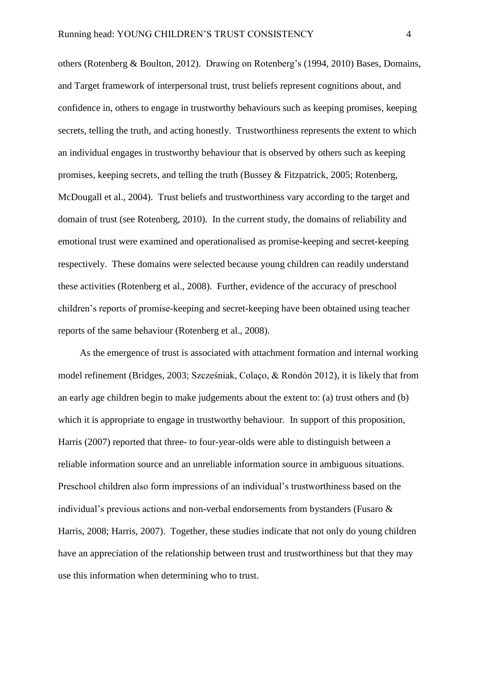others (Rotenberg & Boulton, 2012). Drawing on Rotenberg's (1994, 2010) Bases, Domains, and Target framework of interpersonal trust, trust beliefs represent cognitions about, and confidence in, others to engage in trustworthy behaviours such as keeping promises, keeping secrets, telling the truth, and acting honestly. Trustworthiness represents the extent to which an individual engages in trustworthy behaviour that is observed by others such as keeping promises, keeping secrets, and telling the truth (Bussey & Fitzpatrick, 2005; Rotenberg, McDougall et al., 2004). Trust beliefs and trustworthiness vary according to the target and domain of trust (see Rotenberg, 2010). In the current study, the domains of reliability and emotional trust were examined and operationalised as promise-keeping and secret-keeping respectively. These domains were selected because young children can readily understand these activities (Rotenberg et al., 2008). Further, evidence of the accuracy of preschool children's reports of promise-keeping and secret-keeping have been obtained using teacher reports of the same behaviour (Rotenberg et al., 2008).

As the emergence of trust is associated with attachment formation and internal working model refinement (Bridges, 2003; Szcześniak, Colaço, & Rondón 2012), it is likely that from an early age children begin to make judgements about the extent to: (a) trust others and (b) which it is appropriate to engage in trustworthy behaviour. In support of this proposition, Harris (2007) reported that three- to four-year-olds were able to distinguish between a reliable information source and an unreliable information source in ambiguous situations. Preschool children also form impressions of an individual's trustworthiness based on the individual's previous actions and non-verbal endorsements from bystanders (Fusaro & Harris, 2008; Harris, 2007). Together, these studies indicate that not only do young children have an appreciation of the relationship between trust and trustworthiness but that they may use this information when determining who to trust.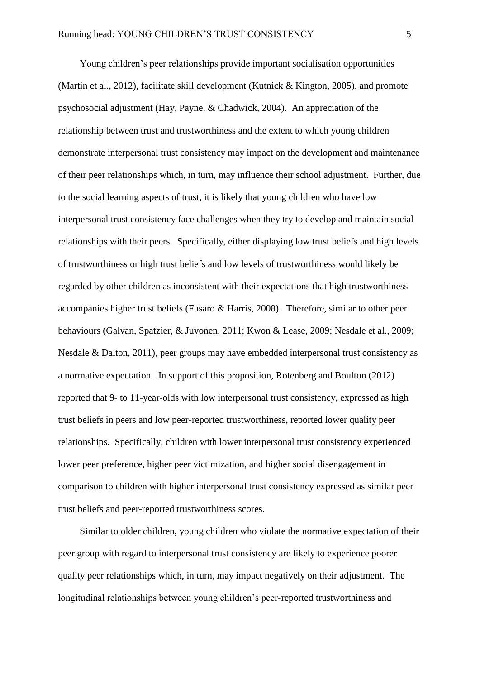Young children's peer relationships provide important socialisation opportunities (Martin et al., 2012), facilitate skill development (Kutnick & Kington, 2005), and promote psychosocial adjustment (Hay, Payne, & Chadwick, 2004). An appreciation of the relationship between trust and trustworthiness and the extent to which young children demonstrate interpersonal trust consistency may impact on the development and maintenance of their peer relationships which, in turn, may influence their school adjustment. Further, due to the social learning aspects of trust, it is likely that young children who have low interpersonal trust consistency face challenges when they try to develop and maintain social relationships with their peers. Specifically, either displaying low trust beliefs and high levels of trustworthiness or high trust beliefs and low levels of trustworthiness would likely be regarded by other children as inconsistent with their expectations that high trustworthiness accompanies higher trust beliefs (Fusaro & Harris, 2008). Therefore, similar to other peer behaviours (Galvan, Spatzier, & Juvonen, 2011; Kwon & Lease, 2009; Nesdale et al., 2009; Nesdale & Dalton, 2011), peer groups may have embedded interpersonal trust consistency as a normative expectation. In support of this proposition, Rotenberg and Boulton (2012) reported that 9- to 11-year-olds with low interpersonal trust consistency, expressed as high trust beliefs in peers and low peer-reported trustworthiness, reported lower quality peer relationships. Specifically, children with lower interpersonal trust consistency experienced lower peer preference, higher peer victimization, and higher social disengagement in comparison to children with higher interpersonal trust consistency expressed as similar peer trust beliefs and peer-reported trustworthiness scores.

Similar to older children, young children who violate the normative expectation of their peer group with regard to interpersonal trust consistency are likely to experience poorer quality peer relationships which, in turn, may impact negatively on their adjustment. The longitudinal relationships between young children's peer-reported trustworthiness and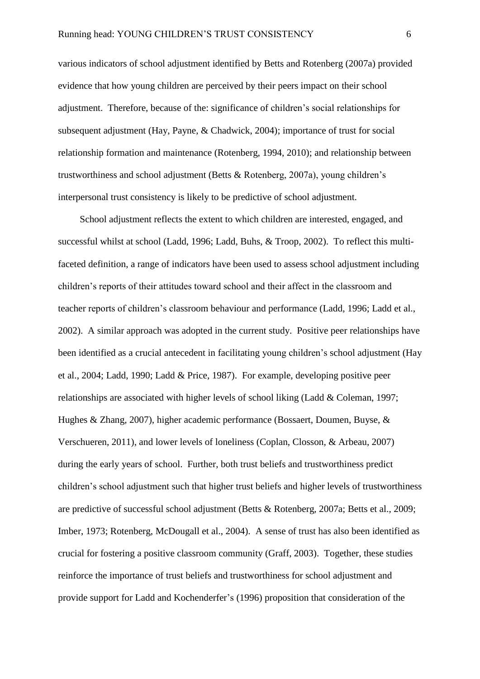various indicators of school adjustment identified by Betts and Rotenberg (2007a) provided evidence that how young children are perceived by their peers impact on their school adjustment. Therefore, because of the: significance of children's social relationships for subsequent adjustment (Hay, Payne, & Chadwick, 2004); importance of trust for social relationship formation and maintenance (Rotenberg, 1994, 2010); and relationship between trustworthiness and school adjustment (Betts & Rotenberg, 2007a), young children's interpersonal trust consistency is likely to be predictive of school adjustment.

School adjustment reflects the extent to which children are interested, engaged, and successful whilst at school (Ladd, 1996; Ladd, Buhs, & Troop, 2002). To reflect this multifaceted definition, a range of indicators have been used to assess school adjustment including children's reports of their attitudes toward school and their affect in the classroom and teacher reports of children's classroom behaviour and performance (Ladd, 1996; Ladd et al., 2002). A similar approach was adopted in the current study. Positive peer relationships have been identified as a crucial antecedent in facilitating young children's school adjustment (Hay et al., 2004; Ladd, 1990; Ladd & Price, 1987). For example, developing positive peer relationships are associated with higher levels of school liking (Ladd & Coleman, 1997; Hughes & Zhang, 2007), higher academic performance (Bossaert, Doumen, Buyse, & Verschueren, 2011), and lower levels of loneliness (Coplan, Closson, & Arbeau, 2007) during the early years of school. Further, both trust beliefs and trustworthiness predict children's school adjustment such that higher trust beliefs and higher levels of trustworthiness are predictive of successful school adjustment (Betts & Rotenberg, 2007a; Betts et al., 2009; Imber, 1973; Rotenberg, McDougall et al., 2004). A sense of trust has also been identified as crucial for fostering a positive classroom community (Graff, 2003). Together, these studies reinforce the importance of trust beliefs and trustworthiness for school adjustment and provide support for Ladd and Kochenderfer's (1996) proposition that consideration of the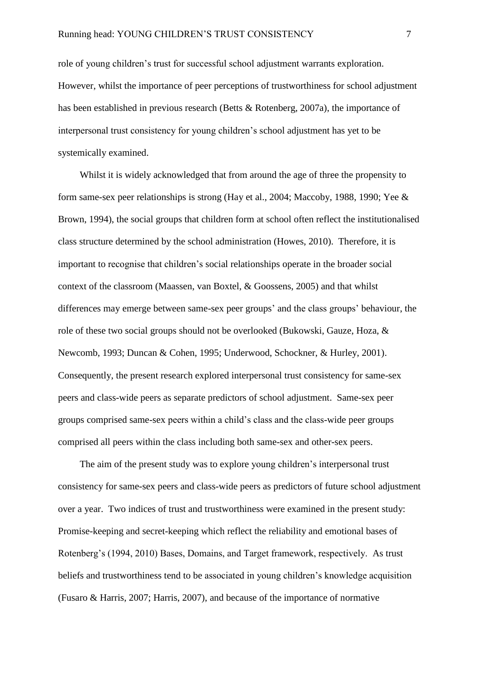role of young children's trust for successful school adjustment warrants exploration. However, whilst the importance of peer perceptions of trustworthiness for school adjustment has been established in previous research (Betts & Rotenberg, 2007a), the importance of interpersonal trust consistency for young children's school adjustment has yet to be systemically examined.

Whilst it is widely acknowledged that from around the age of three the propensity to form same-sex peer relationships is strong (Hay et al., 2004; Maccoby, 1988, 1990; Yee & Brown, 1994), the social groups that children form at school often reflect the institutionalised class structure determined by the school administration (Howes, 2010). Therefore, it is important to recognise that children's social relationships operate in the broader social context of the classroom (Maassen, van Boxtel, & Goossens, 2005) and that whilst differences may emerge between same-sex peer groups' and the class groups' behaviour, the role of these two social groups should not be overlooked (Bukowski, Gauze, Hoza, & Newcomb, 1993; Duncan & Cohen, 1995; Underwood, Schockner, & Hurley, 2001). Consequently, the present research explored interpersonal trust consistency for same-sex peers and class-wide peers as separate predictors of school adjustment. Same-sex peer groups comprised same-sex peers within a child's class and the class-wide peer groups comprised all peers within the class including both same-sex and other-sex peers.

The aim of the present study was to explore young children's interpersonal trust consistency for same-sex peers and class-wide peers as predictors of future school adjustment over a year. Two indices of trust and trustworthiness were examined in the present study: Promise-keeping and secret-keeping which reflect the reliability and emotional bases of Rotenberg's (1994, 2010) Bases, Domains, and Target framework, respectively. As trust beliefs and trustworthiness tend to be associated in young children's knowledge acquisition (Fusaro & Harris, 2007; Harris, 2007), and because of the importance of normative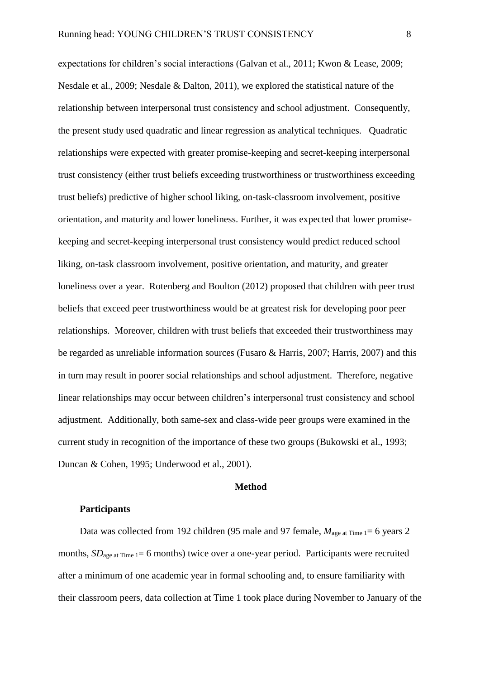expectations for children's social interactions (Galvan et al., 2011; Kwon & Lease, 2009; Nesdale et al., 2009; Nesdale & Dalton, 2011), we explored the statistical nature of the relationship between interpersonal trust consistency and school adjustment. Consequently, the present study used quadratic and linear regression as analytical techniques. Quadratic relationships were expected with greater promise-keeping and secret-keeping interpersonal trust consistency (either trust beliefs exceeding trustworthiness or trustworthiness exceeding trust beliefs) predictive of higher school liking, on-task-classroom involvement, positive orientation, and maturity and lower loneliness. Further, it was expected that lower promisekeeping and secret-keeping interpersonal trust consistency would predict reduced school liking, on-task classroom involvement, positive orientation, and maturity, and greater loneliness over a year. Rotenberg and Boulton (2012) proposed that children with peer trust beliefs that exceed peer trustworthiness would be at greatest risk for developing poor peer relationships. Moreover, children with trust beliefs that exceeded their trustworthiness may be regarded as unreliable information sources (Fusaro & Harris, 2007; Harris, 2007) and this in turn may result in poorer social relationships and school adjustment. Therefore, negative linear relationships may occur between children's interpersonal trust consistency and school adjustment. Additionally, both same-sex and class-wide peer groups were examined in the current study in recognition of the importance of these two groups (Bukowski et al., 1993; Duncan & Cohen, 1995; Underwood et al., 2001).

### **Method**

### **Participants**

Data was collected from 192 children (95 male and 97 female,  $M_{\text{age at Time}} = 6$  years 2 months,  $SD_{\text{ace at Time 1}} = 6$  months) twice over a one-year period. Participants were recruited after a minimum of one academic year in formal schooling and, to ensure familiarity with their classroom peers, data collection at Time 1 took place during November to January of the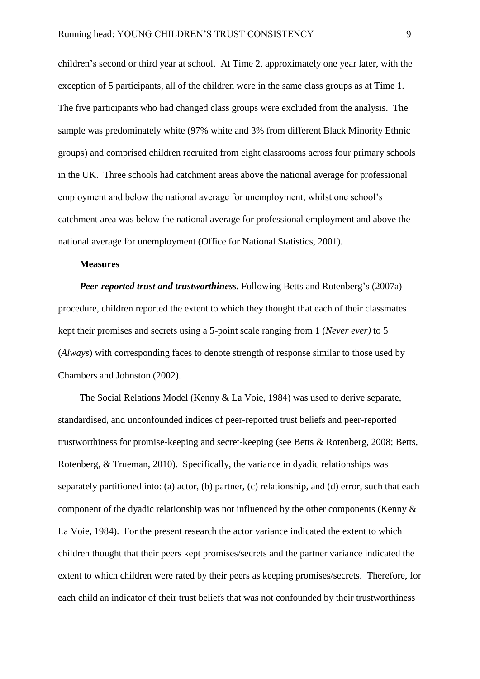children's second or third year at school. At Time 2, approximately one year later, with the exception of 5 participants, all of the children were in the same class groups as at Time 1. The five participants who had changed class groups were excluded from the analysis. The sample was predominately white (97% white and 3% from different Black Minority Ethnic groups) and comprised children recruited from eight classrooms across four primary schools in the UK. Three schools had catchment areas above the national average for professional employment and below the national average for unemployment, whilst one school's catchment area was below the national average for professional employment and above the national average for unemployment (Office for National Statistics, 2001).

### **Measures**

*Peer-reported trust and trustworthiness.* Following Betts and Rotenberg's (2007a) procedure, children reported the extent to which they thought that each of their classmates kept their promises and secrets using a 5-point scale ranging from 1 (*Never ever)* to 5 (*Always*) with corresponding faces to denote strength of response similar to those used by Chambers and Johnston (2002).

The Social Relations Model (Kenny & La Voie, 1984) was used to derive separate, standardised, and unconfounded indices of peer-reported trust beliefs and peer-reported trustworthiness for promise-keeping and secret-keeping (see Betts & Rotenberg, 2008; Betts, Rotenberg, & Trueman, 2010). Specifically, the variance in dyadic relationships was separately partitioned into: (a) actor, (b) partner, (c) relationship, and (d) error, such that each component of the dyadic relationship was not influenced by the other components (Kenny & La Voie, 1984). For the present research the actor variance indicated the extent to which children thought that their peers kept promises/secrets and the partner variance indicated the extent to which children were rated by their peers as keeping promises/secrets. Therefore, for each child an indicator of their trust beliefs that was not confounded by their trustworthiness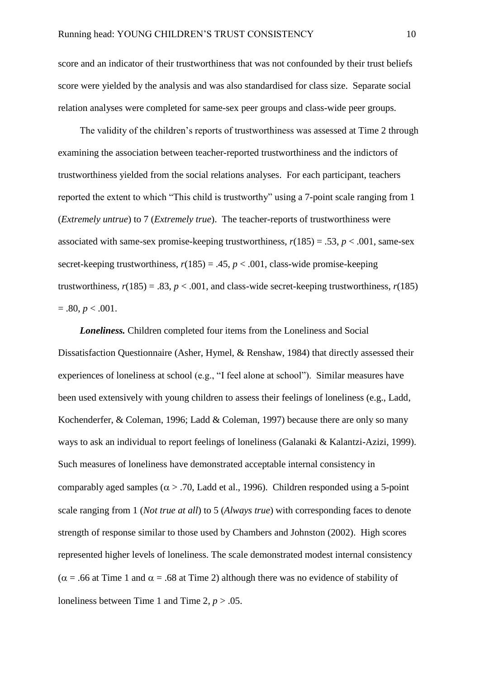score and an indicator of their trustworthiness that was not confounded by their trust beliefs score were yielded by the analysis and was also standardised for class size. Separate social relation analyses were completed for same-sex peer groups and class-wide peer groups.

The validity of the children's reports of trustworthiness was assessed at Time 2 through examining the association between teacher-reported trustworthiness and the indictors of trustworthiness yielded from the social relations analyses. For each participant, teachers reported the extent to which "This child is trustworthy" using a 7-point scale ranging from 1 (*Extremely untrue*) to 7 (*Extremely true*). The teacher-reports of trustworthiness were associated with same-sex promise-keeping trustworthiness,  $r(185) = .53$ ,  $p < .001$ , same-sex secret-keeping trustworthiness,  $r(185) = .45$ ,  $p < .001$ , class-wide promise-keeping trustworthiness,  $r(185) = .83$ ,  $p < .001$ , and class-wide secret-keeping trustworthiness,  $r(185)$  $= .80, p < .001.$ 

*Loneliness.* Children completed four items from the Loneliness and Social Dissatisfaction Questionnaire (Asher, Hymel, & Renshaw, 1984) that directly assessed their experiences of loneliness at school (e.g., "I feel alone at school"). Similar measures have been used extensively with young children to assess their feelings of loneliness (e.g., Ladd, Kochenderfer, & Coleman, 1996; Ladd & Coleman, 1997) because there are only so many ways to ask an individual to report feelings of loneliness (Galanaki & Kalantzi-Azizi, 1999). Such measures of loneliness have demonstrated acceptable internal consistency in comparably aged samples ( $\alpha$  > .70, Ladd et al., 1996). Children responded using a 5-point scale ranging from 1 (*Not true at all*) to 5 (*Always true*) with corresponding faces to denote strength of response similar to those used by Chambers and Johnston (2002). High scores represented higher levels of loneliness. The scale demonstrated modest internal consistency ( $\alpha$  = .66 at Time 1 and  $\alpha$  = .68 at Time 2) although there was no evidence of stability of loneliness between Time 1 and Time 2,  $p > .05$ .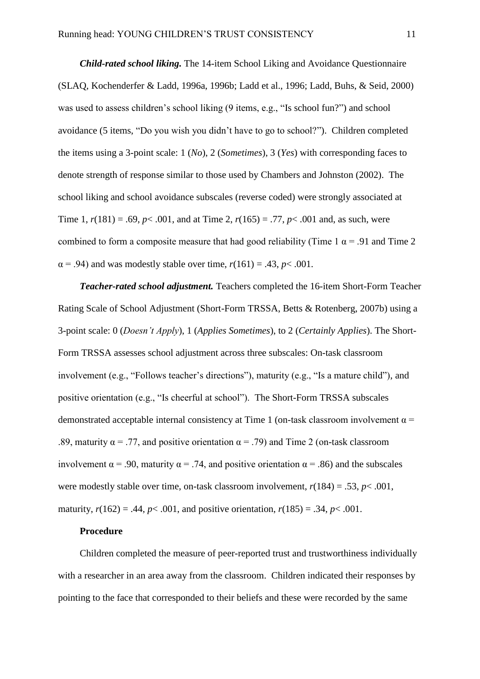*Child-rated school liking.* The 14-item School Liking and Avoidance Questionnaire (SLAQ, Kochenderfer & Ladd, 1996a, 1996b; Ladd et al., 1996; Ladd, Buhs, & Seid, 2000) was used to assess children's school liking (9 items, e.g., "Is school fun?") and school avoidance (5 items, "Do you wish you didn't have to go to school?"). Children completed the items using a 3-point scale: 1 (*No*), 2 (*Sometimes*), 3 (*Yes*) with corresponding faces to denote strength of response similar to those used by Chambers and Johnston (2002). The school liking and school avoidance subscales (reverse coded) were strongly associated at Time 1,  $r(181) = .69$ ,  $p < .001$ , and at Time 2,  $r(165) = .77$ ,  $p < .001$  and, as such, were combined to form a composite measure that had good reliability (Time 1  $\alpha$  = .91 and Time 2  $\alpha$  = .94) and was modestly stable over time,  $r(161) = .43$ ,  $p < .001$ .

*Teacher-rated school adjustment.* Teachers completed the 16-item Short-Form Teacher Rating Scale of School Adjustment (Short-Form TRSSA, Betts & Rotenberg, 2007b) using a 3-point scale: 0 (*Doesn't Apply*), 1 (*Applies Sometimes*), to 2 (*Certainly Applies*). The Short-Form TRSSA assesses school adjustment across three subscales: On-task classroom involvement (e.g., "Follows teacher's directions"), maturity (e.g., "Is a mature child"), and positive orientation (e.g., "Is cheerful at school"). The Short-Form TRSSA subscales demonstrated acceptable internal consistency at Time 1 (on-task classroom involvement  $\alpha$  = .89, maturity  $\alpha = .77$ , and positive orientation  $\alpha = .79$ ) and Time 2 (on-task classroom involvement  $\alpha$  = .90, maturity  $\alpha$  = .74, and positive orientation  $\alpha$  = .86) and the subscales were modestly stable over time, on-task classroom involvement,  $r(184) = .53$ ,  $p < .001$ , maturity,  $r(162) = .44$ ,  $p < .001$ , and positive orientation,  $r(185) = .34$ ,  $p < .001$ .

### **Procedure**

Children completed the measure of peer-reported trust and trustworthiness individually with a researcher in an area away from the classroom. Children indicated their responses by pointing to the face that corresponded to their beliefs and these were recorded by the same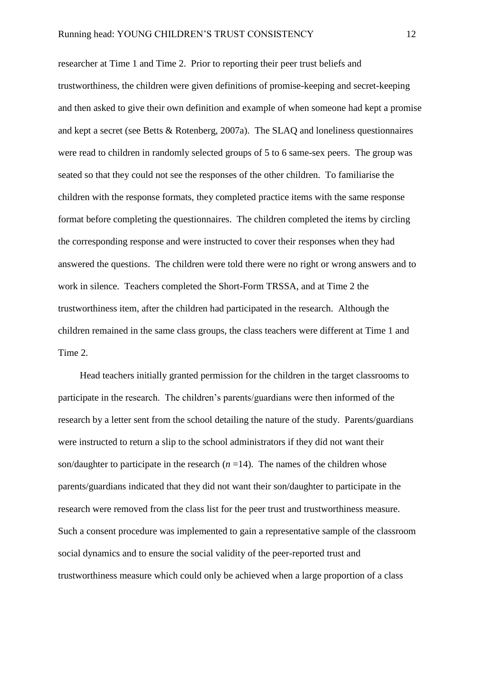researcher at Time 1 and Time 2. Prior to reporting their peer trust beliefs and trustworthiness, the children were given definitions of promise-keeping and secret-keeping and then asked to give their own definition and example of when someone had kept a promise and kept a secret (see Betts & Rotenberg, 2007a). The SLAQ and loneliness questionnaires were read to children in randomly selected groups of 5 to 6 same-sex peers. The group was seated so that they could not see the responses of the other children. To familiarise the children with the response formats, they completed practice items with the same response format before completing the questionnaires. The children completed the items by circling the corresponding response and were instructed to cover their responses when they had answered the questions. The children were told there were no right or wrong answers and to work in silence. Teachers completed the Short-Form TRSSA, and at Time 2 the trustworthiness item, after the children had participated in the research. Although the children remained in the same class groups, the class teachers were different at Time 1 and Time 2.

Head teachers initially granted permission for the children in the target classrooms to participate in the research. The children's parents/guardians were then informed of the research by a letter sent from the school detailing the nature of the study. Parents/guardians were instructed to return a slip to the school administrators if they did not want their son/daughter to participate in the research  $(n=14)$ . The names of the children whose parents/guardians indicated that they did not want their son/daughter to participate in the research were removed from the class list for the peer trust and trustworthiness measure. Such a consent procedure was implemented to gain a representative sample of the classroom social dynamics and to ensure the social validity of the peer-reported trust and trustworthiness measure which could only be achieved when a large proportion of a class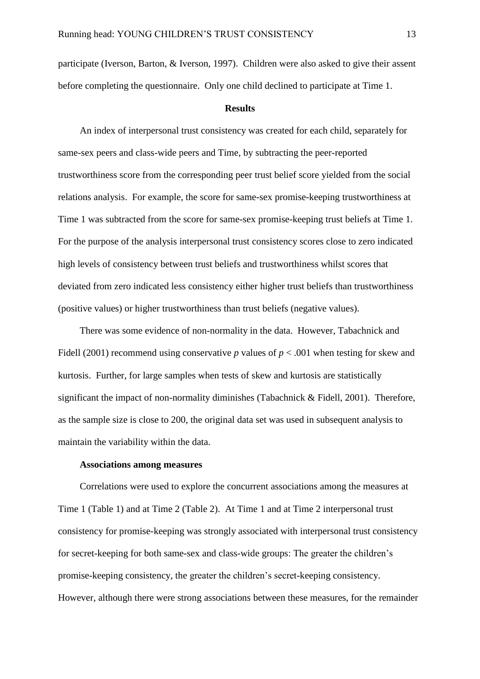participate (Iverson, Barton, & Iverson, 1997). Children were also asked to give their assent before completing the questionnaire. Only one child declined to participate at Time 1.

#### **Results**

An index of interpersonal trust consistency was created for each child, separately for same-sex peers and class-wide peers and Time, by subtracting the peer-reported trustworthiness score from the corresponding peer trust belief score yielded from the social relations analysis. For example, the score for same-sex promise-keeping trustworthiness at Time 1 was subtracted from the score for same-sex promise-keeping trust beliefs at Time 1. For the purpose of the analysis interpersonal trust consistency scores close to zero indicated high levels of consistency between trust beliefs and trustworthiness whilst scores that deviated from zero indicated less consistency either higher trust beliefs than trustworthiness (positive values) or higher trustworthiness than trust beliefs (negative values).

There was some evidence of non-normality in the data. However, Tabachnick and Fidell (2001) recommend using conservative *p* values of  $p < .001$  when testing for skew and kurtosis. Further, for large samples when tests of skew and kurtosis are statistically significant the impact of non-normality diminishes (Tabachnick & Fidell, 2001). Therefore, as the sample size is close to 200, the original data set was used in subsequent analysis to maintain the variability within the data.

### **Associations among measures**

Correlations were used to explore the concurrent associations among the measures at Time 1 (Table 1) and at Time 2 (Table 2). At Time 1 and at Time 2 interpersonal trust consistency for promise-keeping was strongly associated with interpersonal trust consistency for secret-keeping for both same-sex and class-wide groups: The greater the children's promise-keeping consistency, the greater the children's secret-keeping consistency. However, although there were strong associations between these measures, for the remainder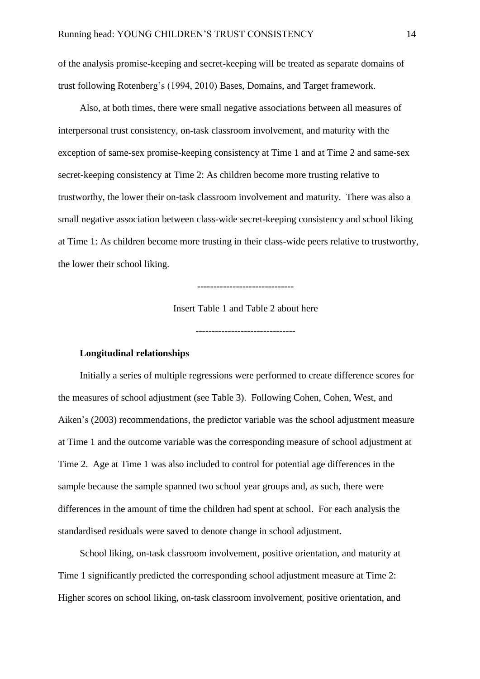of the analysis promise-keeping and secret-keeping will be treated as separate domains of trust following Rotenberg's (1994, 2010) Bases, Domains, and Target framework.

Also, at both times, there were small negative associations between all measures of interpersonal trust consistency, on-task classroom involvement, and maturity with the exception of same-sex promise-keeping consistency at Time 1 and at Time 2 and same-sex secret-keeping consistency at Time 2: As children become more trusting relative to trustworthy, the lower their on-task classroom involvement and maturity. There was also a small negative association between class-wide secret-keeping consistency and school liking at Time 1: As children become more trusting in their class-wide peers relative to trustworthy, the lower their school liking.

------------------------------

Insert Table 1 and Table 2 about here

-------------------------------

### **Longitudinal relationships**

Initially a series of multiple regressions were performed to create difference scores for the measures of school adjustment (see Table 3). Following Cohen, Cohen, West, and Aiken's (2003) recommendations, the predictor variable was the school adjustment measure at Time 1 and the outcome variable was the corresponding measure of school adjustment at Time 2. Age at Time 1 was also included to control for potential age differences in the sample because the sample spanned two school year groups and, as such, there were differences in the amount of time the children had spent at school. For each analysis the standardised residuals were saved to denote change in school adjustment.

School liking, on-task classroom involvement, positive orientation, and maturity at Time 1 significantly predicted the corresponding school adjustment measure at Time 2: Higher scores on school liking, on-task classroom involvement, positive orientation, and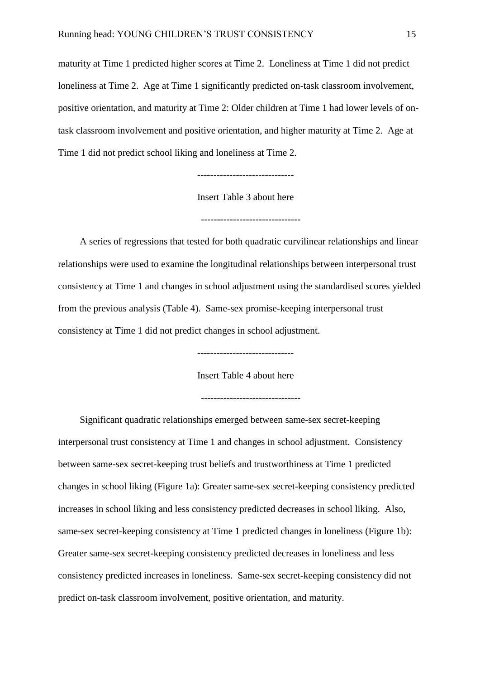maturity at Time 1 predicted higher scores at Time 2. Loneliness at Time 1 did not predict loneliness at Time 2. Age at Time 1 significantly predicted on-task classroom involvement, positive orientation, and maturity at Time 2: Older children at Time 1 had lower levels of ontask classroom involvement and positive orientation, and higher maturity at Time 2. Age at Time 1 did not predict school liking and loneliness at Time 2.

Insert Table 3 about here

-------------------------------

A series of regressions that tested for both quadratic curvilinear relationships and linear relationships were used to examine the longitudinal relationships between interpersonal trust consistency at Time 1 and changes in school adjustment using the standardised scores yielded from the previous analysis (Table 4). Same-sex promise-keeping interpersonal trust consistency at Time 1 did not predict changes in school adjustment.

------------------------------

Insert Table 4 about here

Significant quadratic relationships emerged between same-sex secret-keeping interpersonal trust consistency at Time 1 and changes in school adjustment. Consistency between same-sex secret-keeping trust beliefs and trustworthiness at Time 1 predicted changes in school liking (Figure 1a): Greater same-sex secret-keeping consistency predicted increases in school liking and less consistency predicted decreases in school liking. Also, same-sex secret-keeping consistency at Time 1 predicted changes in loneliness (Figure 1b): Greater same-sex secret-keeping consistency predicted decreases in loneliness and less consistency predicted increases in loneliness. Same-sex secret-keeping consistency did not predict on-task classroom involvement, positive orientation, and maturity.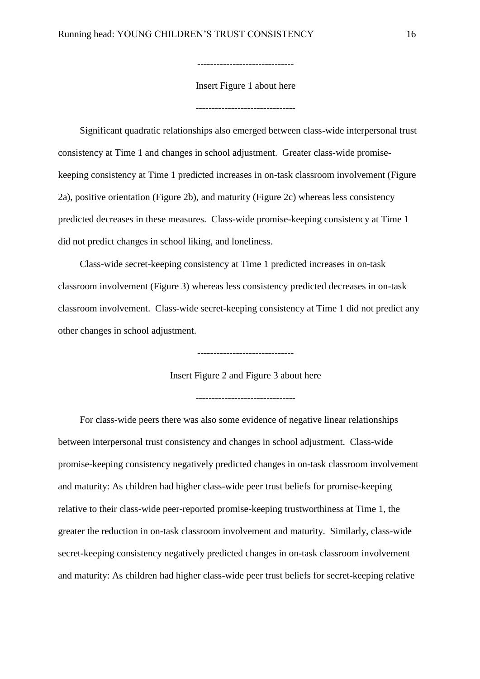Insert Figure 1 about here

-------------------------------

------------------------------

Significant quadratic relationships also emerged between class-wide interpersonal trust consistency at Time 1 and changes in school adjustment. Greater class-wide promisekeeping consistency at Time 1 predicted increases in on-task classroom involvement (Figure 2a), positive orientation (Figure 2b), and maturity (Figure 2c) whereas less consistency predicted decreases in these measures. Class-wide promise-keeping consistency at Time 1 did not predict changes in school liking, and loneliness.

Class-wide secret-keeping consistency at Time 1 predicted increases in on-task classroom involvement (Figure 3) whereas less consistency predicted decreases in on-task classroom involvement. Class-wide secret-keeping consistency at Time 1 did not predict any other changes in school adjustment.

Insert Figure 2 and Figure 3 about here

------------------------------

-------------------------------

For class-wide peers there was also some evidence of negative linear relationships between interpersonal trust consistency and changes in school adjustment. Class-wide promise-keeping consistency negatively predicted changes in on-task classroom involvement and maturity: As children had higher class-wide peer trust beliefs for promise-keeping relative to their class-wide peer-reported promise-keeping trustworthiness at Time 1, the greater the reduction in on-task classroom involvement and maturity. Similarly, class-wide secret-keeping consistency negatively predicted changes in on-task classroom involvement and maturity: As children had higher class-wide peer trust beliefs for secret-keeping relative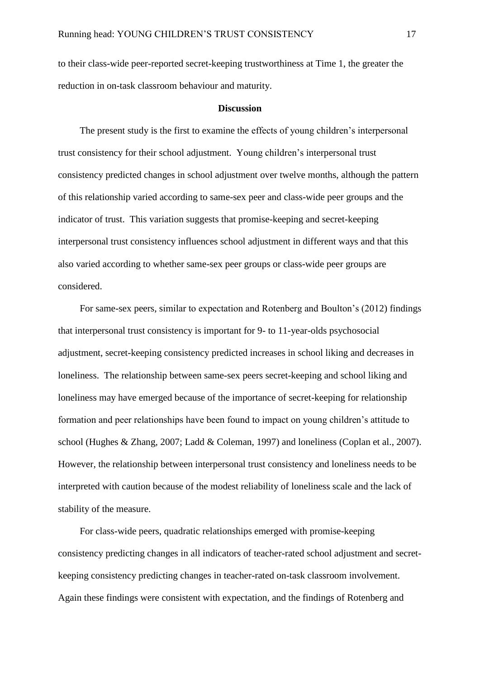to their class-wide peer-reported secret-keeping trustworthiness at Time 1, the greater the reduction in on-task classroom behaviour and maturity.

#### **Discussion**

The present study is the first to examine the effects of young children's interpersonal trust consistency for their school adjustment. Young children's interpersonal trust consistency predicted changes in school adjustment over twelve months, although the pattern of this relationship varied according to same-sex peer and class-wide peer groups and the indicator of trust. This variation suggests that promise-keeping and secret-keeping interpersonal trust consistency influences school adjustment in different ways and that this also varied according to whether same-sex peer groups or class-wide peer groups are considered.

For same-sex peers, similar to expectation and Rotenberg and Boulton's (2012) findings that interpersonal trust consistency is important for 9- to 11-year-olds psychosocial adjustment, secret-keeping consistency predicted increases in school liking and decreases in loneliness. The relationship between same-sex peers secret-keeping and school liking and loneliness may have emerged because of the importance of secret-keeping for relationship formation and peer relationships have been found to impact on young children's attitude to school (Hughes & Zhang, 2007; Ladd & Coleman, 1997) and loneliness (Coplan et al., 2007). However, the relationship between interpersonal trust consistency and loneliness needs to be interpreted with caution because of the modest reliability of loneliness scale and the lack of stability of the measure.

For class-wide peers, quadratic relationships emerged with promise-keeping consistency predicting changes in all indicators of teacher-rated school adjustment and secretkeeping consistency predicting changes in teacher-rated on-task classroom involvement. Again these findings were consistent with expectation, and the findings of Rotenberg and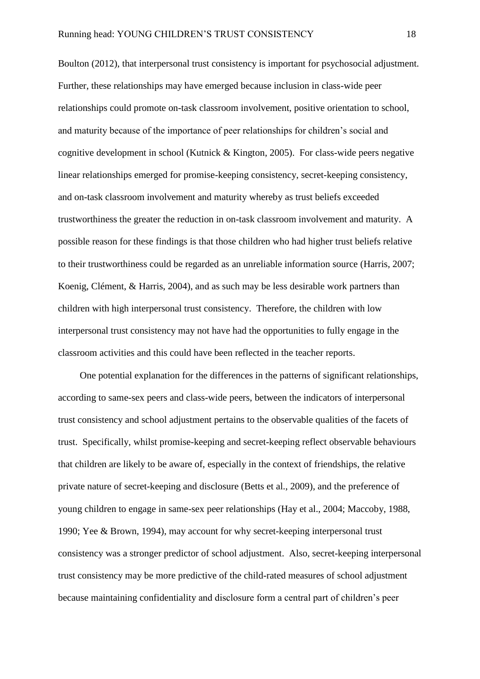Boulton (2012), that interpersonal trust consistency is important for psychosocial adjustment. Further, these relationships may have emerged because inclusion in class-wide peer relationships could promote on-task classroom involvement, positive orientation to school, and maturity because of the importance of peer relationships for children's social and cognitive development in school (Kutnick & Kington, 2005). For class-wide peers negative linear relationships emerged for promise-keeping consistency, secret-keeping consistency, and on-task classroom involvement and maturity whereby as trust beliefs exceeded trustworthiness the greater the reduction in on-task classroom involvement and maturity. A possible reason for these findings is that those children who had higher trust beliefs relative to their trustworthiness could be regarded as an unreliable information source (Harris, 2007; Koenig, Clément, & Harris, 2004), and as such may be less desirable work partners than children with high interpersonal trust consistency. Therefore, the children with low interpersonal trust consistency may not have had the opportunities to fully engage in the classroom activities and this could have been reflected in the teacher reports.

One potential explanation for the differences in the patterns of significant relationships, according to same-sex peers and class-wide peers, between the indicators of interpersonal trust consistency and school adjustment pertains to the observable qualities of the facets of trust. Specifically, whilst promise-keeping and secret-keeping reflect observable behaviours that children are likely to be aware of, especially in the context of friendships, the relative private nature of secret-keeping and disclosure (Betts et al., 2009), and the preference of young children to engage in same-sex peer relationships (Hay et al., 2004; Maccoby, 1988, 1990; Yee & Brown, 1994), may account for why secret-keeping interpersonal trust consistency was a stronger predictor of school adjustment. Also, secret-keeping interpersonal trust consistency may be more predictive of the child-rated measures of school adjustment because maintaining confidentiality and disclosure form a central part of children's peer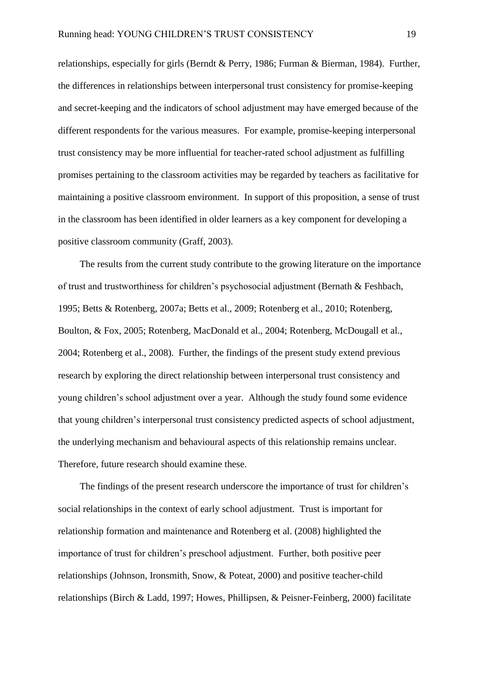relationships, especially for girls (Berndt & Perry, 1986; Furman & Bierman, 1984). Further, the differences in relationships between interpersonal trust consistency for promise-keeping and secret-keeping and the indicators of school adjustment may have emerged because of the different respondents for the various measures. For example, promise-keeping interpersonal trust consistency may be more influential for teacher-rated school adjustment as fulfilling promises pertaining to the classroom activities may be regarded by teachers as facilitative for maintaining a positive classroom environment. In support of this proposition, a sense of trust in the classroom has been identified in older learners as a key component for developing a positive classroom community (Graff, 2003).

The results from the current study contribute to the growing literature on the importance of trust and trustworthiness for children's psychosocial adjustment (Bernath & Feshbach, 1995; Betts & Rotenberg, 2007a; Betts et al., 2009; Rotenberg et al., 2010; Rotenberg, Boulton, & Fox, 2005; Rotenberg, MacDonald et al., 2004; Rotenberg, McDougall et al., 2004; Rotenberg et al., 2008). Further, the findings of the present study extend previous research by exploring the direct relationship between interpersonal trust consistency and young children's school adjustment over a year. Although the study found some evidence that young children's interpersonal trust consistency predicted aspects of school adjustment, the underlying mechanism and behavioural aspects of this relationship remains unclear. Therefore, future research should examine these.

The findings of the present research underscore the importance of trust for children's social relationships in the context of early school adjustment. Trust is important for relationship formation and maintenance and Rotenberg et al. (2008) highlighted the importance of trust for children's preschool adjustment. Further, both positive peer relationships (Johnson, Ironsmith, Snow, & Poteat, 2000) and positive teacher-child relationships (Birch & Ladd, 1997; Howes, Phillipsen, & Peisner-Feinberg, 2000) facilitate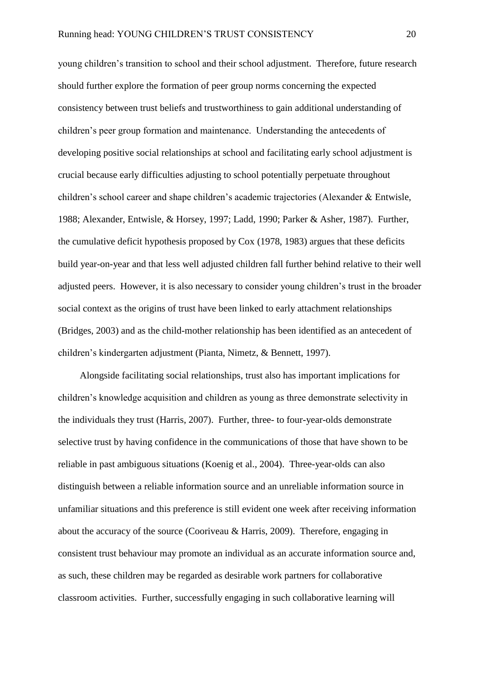young children's transition to school and their school adjustment. Therefore, future research should further explore the formation of peer group norms concerning the expected consistency between trust beliefs and trustworthiness to gain additional understanding of children's peer group formation and maintenance. Understanding the antecedents of developing positive social relationships at school and facilitating early school adjustment is crucial because early difficulties adjusting to school potentially perpetuate throughout children's school career and shape children's academic trajectories (Alexander & Entwisle, 1988; Alexander, Entwisle, & Horsey, 1997; Ladd, 1990; Parker & Asher, 1987). Further, the cumulative deficit hypothesis proposed by Cox (1978, 1983) argues that these deficits build year-on-year and that less well adjusted children fall further behind relative to their well adjusted peers. However, it is also necessary to consider young children's trust in the broader social context as the origins of trust have been linked to early attachment relationships (Bridges, 2003) and as the child-mother relationship has been identified as an antecedent of children's kindergarten adjustment (Pianta, Nimetz, & Bennett, 1997).

Alongside facilitating social relationships, trust also has important implications for children's knowledge acquisition and children as young as three demonstrate selectivity in the individuals they trust (Harris, 2007). Further, three- to four-year-olds demonstrate selective trust by having confidence in the communications of those that have shown to be reliable in past ambiguous situations (Koenig et al., 2004). Three-year-olds can also distinguish between a reliable information source and an unreliable information source in unfamiliar situations and this preference is still evident one week after receiving information about the accuracy of the source (Cooriveau & Harris, 2009). Therefore, engaging in consistent trust behaviour may promote an individual as an accurate information source and, as such, these children may be regarded as desirable work partners for collaborative classroom activities. Further, successfully engaging in such collaborative learning will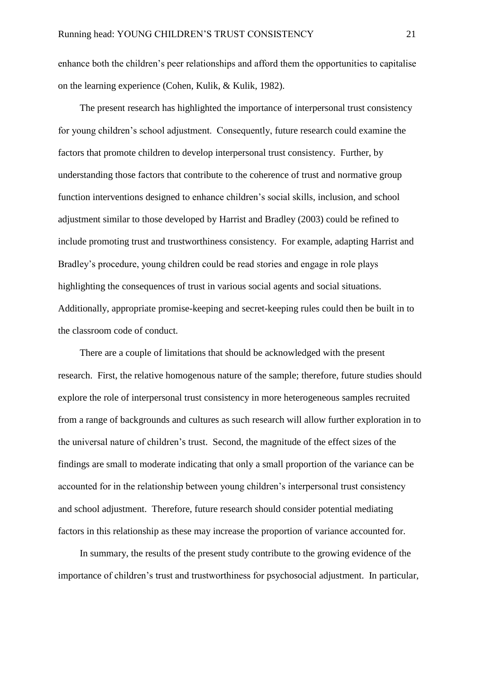enhance both the children's peer relationships and afford them the opportunities to capitalise on the learning experience (Cohen, Kulik, & Kulik, 1982).

The present research has highlighted the importance of interpersonal trust consistency for young children's school adjustment. Consequently, future research could examine the factors that promote children to develop interpersonal trust consistency. Further, by understanding those factors that contribute to the coherence of trust and normative group function interventions designed to enhance children's social skills, inclusion, and school adjustment similar to those developed by Harrist and Bradley (2003) could be refined to include promoting trust and trustworthiness consistency. For example, adapting Harrist and Bradley's procedure, young children could be read stories and engage in role plays highlighting the consequences of trust in various social agents and social situations. Additionally, appropriate promise-keeping and secret-keeping rules could then be built in to the classroom code of conduct.

There are a couple of limitations that should be acknowledged with the present research. First, the relative homogenous nature of the sample; therefore, future studies should explore the role of interpersonal trust consistency in more heterogeneous samples recruited from a range of backgrounds and cultures as such research will allow further exploration in to the universal nature of children's trust. Second, the magnitude of the effect sizes of the findings are small to moderate indicating that only a small proportion of the variance can be accounted for in the relationship between young children's interpersonal trust consistency and school adjustment. Therefore, future research should consider potential mediating factors in this relationship as these may increase the proportion of variance accounted for.

In summary, the results of the present study contribute to the growing evidence of the importance of children's trust and trustworthiness for psychosocial adjustment. In particular,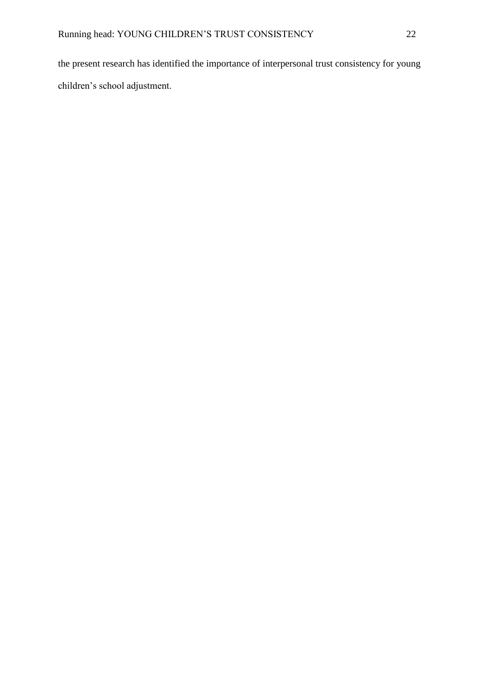the present research has identified the importance of interpersonal trust consistency for young children's school adjustment.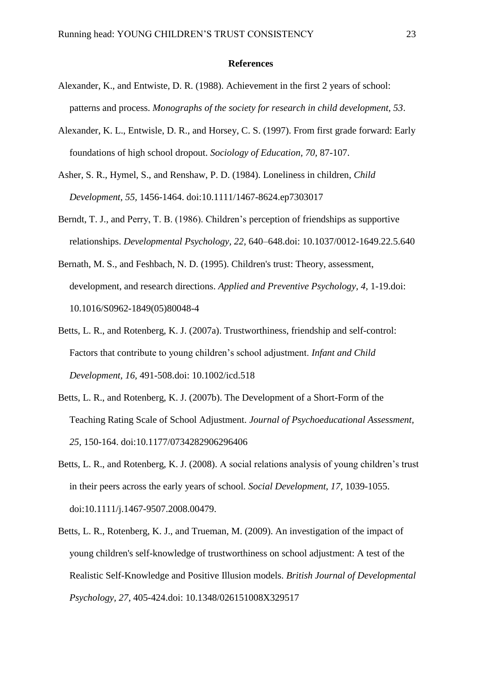#### **References**

- Alexander, K., and Entwiste, D. R. (1988). Achievement in the first 2 years of school: patterns and process. *Monographs of the society for research in child development, 53*.
- Alexander, K. L., Entwisle, D. R., and Horsey, C. S. (1997). From first grade forward: Early foundations of high school dropout. *Sociology of Education, 70,* 87-107.
- Asher, S. R., Hymel, S., and Renshaw, P. D. (1984). Loneliness in children, *Child Development, 55,* 1456-1464. doi:10.1111/1467-8624.ep7303017
- Berndt, T. J., and Perry, T. B. (1986). Children's perception of friendships as supportive relationships. *Developmental Psychology, 22,* 640–648.doi: [10.1037/0012-1649.22.5.640](http://psycnet.apa.org/doi/10.1037/0012-1649.22.5.640)
- Bernath, M. S., and Feshbach, N. D. (1995). Children's trust: Theory, assessment, development, and research directions. *Applied and Preventive Psychology, 4,* 1-19.doi: 10.1016/S0962-1849(05)80048-4
- Betts, L. R., and Rotenberg, K. J. (2007a). Trustworthiness, friendship and self-control: Factors that contribute to young children's school adjustment. *Infant and Child Development, 16,* 491-508.doi: 10.1002/icd.518
- Betts, L. R., and Rotenberg, K. J. (2007b). The Development of a Short-Form of the Teaching Rating Scale of School Adjustment. *Journal of Psychoeducational Assessment, 25,* 150-164. doi:10.1177/0734282906296406
- Betts, L. R., and Rotenberg, K. J. (2008). A social relations analysis of young children's trust in their peers across the early years of school. *Social Development, 17,* 1039-1055. doi:10.1111/j.1467-9507.2008.00479.
- Betts, L. R., Rotenberg, K. J., and Trueman, M. (2009). An investigation of the impact of young children's self-knowledge of trustworthiness on school adjustment: A test of the Realistic Self-Knowledge and Positive Illusion models. *British Journal of Developmental Psychology, 27,* 405-424.doi: 10.1348/026151008X329517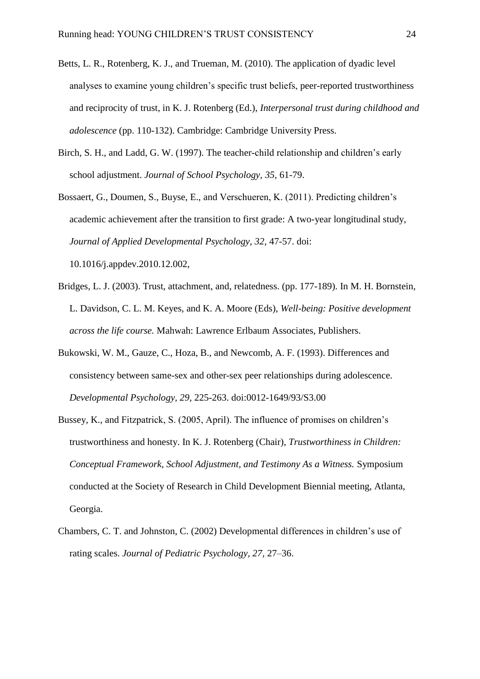- Betts, L. R., Rotenberg, K. J., and Trueman, M. (2010). The application of dyadic level analyses to examine young children's specific trust beliefs, peer-reported trustworthiness and reciprocity of trust, in K. J. Rotenberg (Ed.), *Interpersonal trust during childhood and adolescence* (pp. 110-132). Cambridge: Cambridge University Press.
- Birch, S. H., and Ladd, G. W. (1997). The teacher-child relationship and children's early school adjustment. *Journal of School Psychology, 35,* 61-79.
- Bossaert, G., Doumen, S., Buyse, E., and Verschueren, K. (2011). Predicting children's academic achievement after the transition to first grade: A two-year longitudinal study, *Journal of Applied Developmental Psychology, 32,* 47-57. doi: 10.1016/j.appdev.2010.12.002,
- Bridges, L. J. (2003). Trust, attachment, and, relatedness. (pp. 177-189). In M. H. Bornstein, L. Davidson, C. L. M. Keyes, and K. A. Moore (Eds), *Well-being: Positive development across the life course.* Mahwah: Lawrence Erlbaum Associates, Publishers.
- Bukowski, W. M., Gauze, C., Hoza, B., and Newcomb, A. F. (1993). Differences and consistency between same-sex and other-sex peer relationships during adolescence. *Developmental Psychology, 29,* 225-263. doi:0012-1649/93/S3.00
- Bussey, K., and Fitzpatrick, S. (2005, April). The influence of promises on children's trustworthiness and honesty. In K. J. Rotenberg (Chair), *Trustworthiness in Children: Conceptual Framework, School Adjustment, and Testimony As a Witness.* Symposium conducted at the Society of Research in Child Development Biennial meeting, Atlanta, Georgia.
- Chambers, C. T. and Johnston, C. (2002) Developmental differences in children's use of rating scales. *Journal of Pediatric Psychology, 27,* 27–36.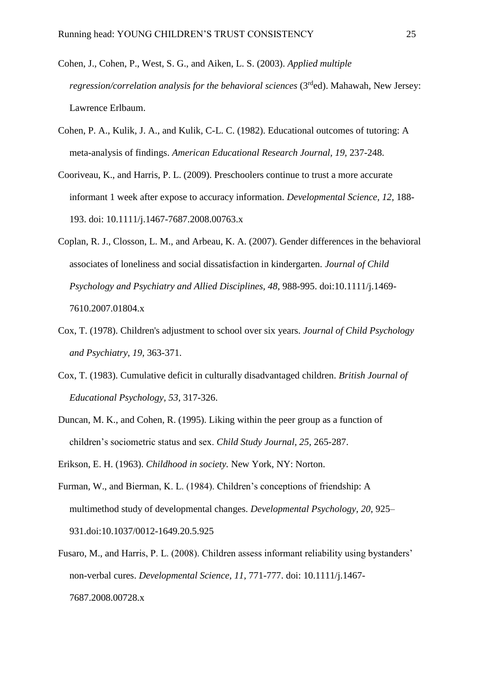- Cohen, J., Cohen, P., West, S. G., and Aiken, L. S. (2003). *Applied multiple regression/correlation analysis for the behavioral sciences* (3<sup>rd</sup>ed). Mahawah, New Jersey: Lawrence Erlbaum.
- Cohen, P. A., Kulik, J. A., and Kulik, C-L. C. (1982). Educational outcomes of tutoring: A meta-analysis of findings. *American Educational Research Journal, 19,* 237-248.
- Cooriveau, K., and Harris, P. L. (2009). Preschoolers continue to trust a more accurate informant 1 week after expose to accuracy information. *Developmental Science, 12,* 188- 193. doi: 10.1111/j.1467-7687.2008.00763.x
- Coplan, R. J., Closson, L. M., and Arbeau, K. A. (2007). Gender differences in the behavioral associates of loneliness and social dissatisfaction in kindergarten. *Journal of Child Psychology and Psychiatry and Allied Disciplines, 48,* 988-995. doi:10.1111/j.1469- 7610.2007.01804.x
- Cox, T. (1978). Children's adjustment to school over six years. *Journal of Child Psychology and Psychiatry, 19,* 363-371.
- Cox, T. (1983). Cumulative deficit in culturally disadvantaged children. *British Journal of Educational Psychology, 53,* 317-326.
- Duncan, M. K., and Cohen, R. (1995). Liking within the peer group as a function of children's sociometric status and sex. *Child Study Journal, 25,* 265-287.
- Erikson, E. H. (1963). *Childhood in society.* New York, NY: Norton.
- Furman, W., and Bierman, K. L. (1984). Children's conceptions of friendship: A multimethod study of developmental changes. *Developmental Psychology, 20,* 925– 931[.doi:10.1037/0012-1649.20.5.925](http://dx.doi.org/10.1037/0012-1649.20.5.925)
- Fusaro, M., and Harris, P. L. (2008). Children assess informant reliability using bystanders' non-verbal cures. *Developmental Science, 11,* 771-777. doi: 10.1111/j.1467- 7687.2008.00728.x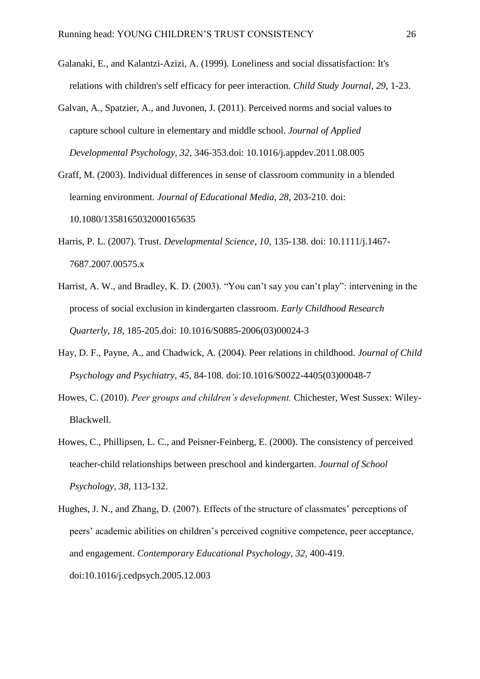- Galanaki, E., and Kalantzi-Azizi, A. (1999). Loneliness and social dissatisfaction: It's relations with children's self efficacy for peer interaction. *Child Study Journal, 29,* 1-23.
- Galvan, A., Spatzier, A., and Juvonen, J. (2011). Perceived norms and social values to capture school culture in elementary and middle school. *Journal of Applied Developmental Psychology, 32,* 346-353.doi: 10.1016/j.appdev.2011.08.005
- Graff, M. (2003). Individual differences in sense of classroom community in a blended learning environment. *Journal of Educational Media, 28,* 203-210. doi: 10.1080/1358165032000165635
- Harris, P. L. (2007). Trust. *Developmental Science, 10,* 135-138. doi: 10.1111/j.1467- 7687.2007.00575.x
- Harrist, A. W., and Bradley, K. D. (2003). "You can't say you can't play": intervening in the process of social exclusion in kindergarten classroom. *Early Childhood Research Quarterly, 18,* 185-205.doi: 10.1016/S0885-2006(03)00024-3
- Hay, D. F., Payne, A., and Chadwick, A. (2004). Peer relations in childhood. *Journal of Child Psychology and Psychiatry, 45,* 84-108. doi:10.1016/S0022-4405(03)00048-7
- Howes, C. (2010). *Peer groups and children's development.* Chichester, West Sussex: Wiley-Blackwell.
- Howes, C., Phillipsen, L. C., and Peisner-Feinberg, E. (2000). The consistency of perceived teacher-child relationships between preschool and kindergarten. *Journal of School Psychology, 38,* 113-132.
- Hughes, J. N., and Zhang, D. (2007). Effects of the structure of classmates' perceptions of peers' academic abilities on children's perceived cognitive competence, peer acceptance, and engagement. *Contemporary Educational Psychology, 32,* 400-419. doi:10.1016/j.cedpsych.2005.12.003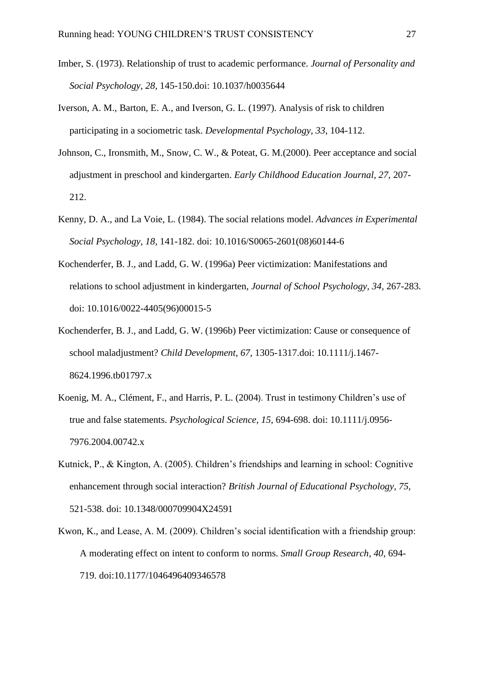- Imber, S. (1973). Relationship of trust to academic performance. *Journal of Personality and Social Psychology, 28,* 145-150.doi: 10.1037/h0035644
- Iverson, A. M., Barton, E. A., and Iverson, G. L. (1997). Analysis of risk to children participating in a sociometric task. *Developmental Psychology, 33,* 104-112.
- Johnson, C., Ironsmith, M., Snow, C. W., & Poteat, G. M.(2000). Peer acceptance and social adjustment in preschool and kindergarten. *Early Childhood Education Journal, 27,* 207- 212.
- Kenny, D. A., and La Voie, L. (1984). The social relations model. *Advances in Experimental Social Psychology, 18,* 141-182. doi: 10.1016/S0065-2601(08)60144-6
- Kochenderfer, B. J., and Ladd, G. W. (1996a) Peer victimization: Manifestations and relations to school adjustment in kindergarten, *Journal of School Psychology, 34,* 267-283. doi: 10.1016/0022-4405(96)00015-5
- Kochenderfer, B. J., and Ladd, G. W. (1996b) Peer victimization: Cause or consequence of school maladjustment? *Child Development, 67,* 1305-1317.doi: 10.1111/j.1467- 8624.1996.tb01797.x
- Koenig, M. A., Clément, F., and Harris, P. L. (2004). Trust in testimony Children's use of true and false statements. *Psychological Science, 15,* 694-698. doi: 10.1111/j.0956- 7976.2004.00742.x
- Kutnick, P., & Kington, A. (2005). Children's friendships and learning in school: Cognitive enhancement through social interaction? *British Journal of Educational Psychology, 75,*  521-538. doi: 10.1348/000709904X24591
- Kwon, K., and Lease, A. M. (2009). Children's social identification with a friendship group: A moderating effect on intent to conform to norms. *Small Group Research, 40,* 694- 719. doi:10.1177/1046496409346578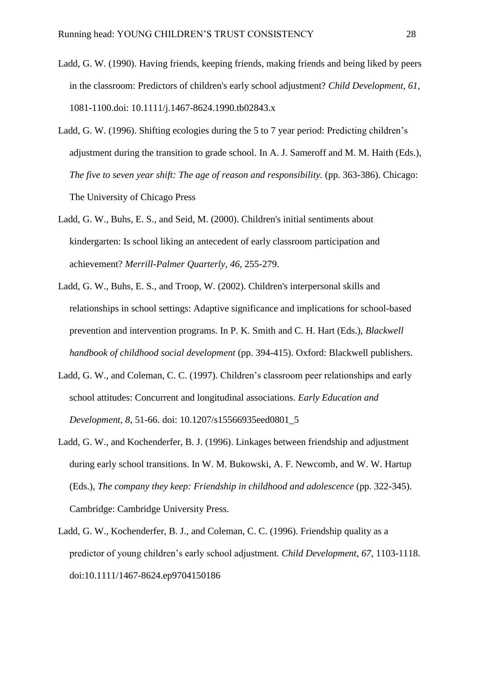- Ladd, G. W. (1990). Having friends, keeping friends, making friends and being liked by peers in the classroom: Predictors of children's early school adjustment? *Child Development, 61,* 1081-1100.doi: 10.1111/j.1467-8624.1990.tb02843.x
- Ladd, G. W. (1996). Shifting ecologies during the 5 to 7 year period: Predicting children's adjustment during the transition to grade school. In A. J. Sameroff and M. M. Haith (Eds.), *The five to seven year shift: The age of reason and responsibility.* (pp. 363-386). Chicago: The University of Chicago Press
- Ladd, G. W., Buhs, E. S., and Seid, M. (2000). Children's initial sentiments about kindergarten: Is school liking an antecedent of early classroom participation and achievement? *Merrill-Palmer Quarterly, 46,* 255-279.
- Ladd, G. W., Buhs, E. S., and Troop, W. (2002). Children's interpersonal skills and relationships in school settings: Adaptive significance and implications for school-based prevention and intervention programs. In P. K. Smith and C. H. Hart (Eds.), *Blackwell handbook of childhood social development* (pp. 394-415). Oxford: Blackwell publishers.
- Ladd, G. W., and Coleman, C. C. (1997). Children's classroom peer relationships and early school attitudes: Concurrent and longitudinal associations. *Early Education and Development, 8,* 51-66. doi: 10.1207/s15566935eed0801\_5
- Ladd, G. W., and Kochenderfer, B. J. (1996). Linkages between friendship and adjustment during early school transitions. In W. M. Bukowski, A. F. Newcomb, and W. W. Hartup (Eds.), *The company they keep: Friendship in childhood and adolescence* (pp. 322-345). Cambridge: Cambridge University Press.
- Ladd, G. W., Kochenderfer, B. J., and Coleman, C. C. (1996). Friendship quality as a predictor of young children's early school adjustment. *Child Development, 67,* 1103-1118. doi:10.1111/1467-8624.ep9704150186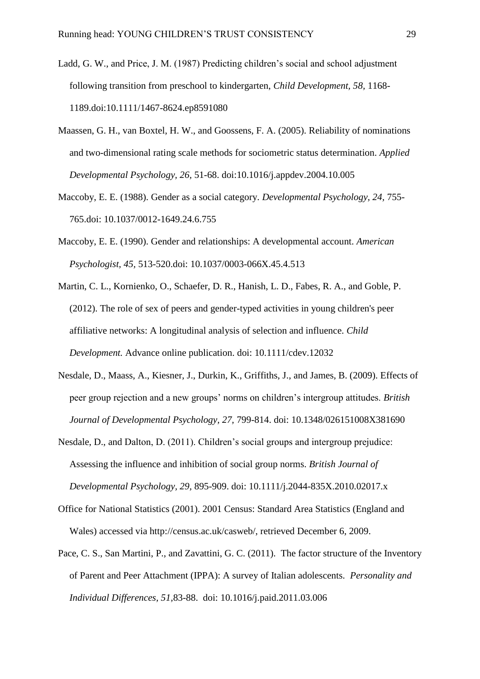- Ladd, G. W., and Price, J. M. (1987) Predicting children's social and school adjustment following transition from preschool to kindergarten, *Child Development, 58,* 1168- 1189.doi:10.1111/1467-8624.ep8591080
- Maassen, G. H., van Boxtel, H. W., and Goossens, F. A. (2005). Reliability of nominations and two-dimensional rating scale methods for sociometric status determination. *Applied Developmental Psychology, 26,* 51-68. doi:10.1016/j.appdev.2004.10.005
- Maccoby, E. E. (1988). Gender as a social category. *Developmental Psychology, 24,* 755- 765.doi: 10.1037/0012-1649.24.6.755
- Maccoby, E. E. (1990). Gender and relationships: A developmental account. *American Psychologist, 45,* 513-520.doi: 10.1037/0003-066X.45.4.513
- Martin, C. L., Kornienko, O., Schaefer, D. R., Hanish, L. D., Fabes, R. A., and Goble, P. (2012). The role of sex of peers and gender-typed activities in young children's peer affiliative networks: A longitudinal analysis of selection and influence. *Child Development.* Advance online publication. doi: 10.1111/cdev.12032
- Nesdale, D., Maass, A., Kiesner, J., Durkin, K., Griffiths, J., and James, B. (2009). Effects of peer group rejection and a new groups' norms on children's intergroup attitudes. *British Journal of Developmental Psychology, 27,* 799-814. doi: 10.1348/026151008X381690
- Nesdale, D., and Dalton, D. (2011). Children's social groups and intergroup prejudice: Assessing the influence and inhibition of social group norms. *British Journal of Developmental Psychology, 29,* 895-909. doi: 10.1111/j.2044-835X.2010.02017.x
- Office for National Statistics (2001). 2001 Census: Standard Area Statistics (England and Wales) accessed via http://census.ac.uk/casweb/, retrieved December 6, 2009.
- Pace, C. S., San Martini, P., and Zavattini, G. C. (2011). The factor structure of the Inventory of Parent and Peer Attachment (IPPA): A survey of Italian adolescents. *Personality and Individual Differences, 51,*83-88.doi: 10.1016/j.paid.2011.03.006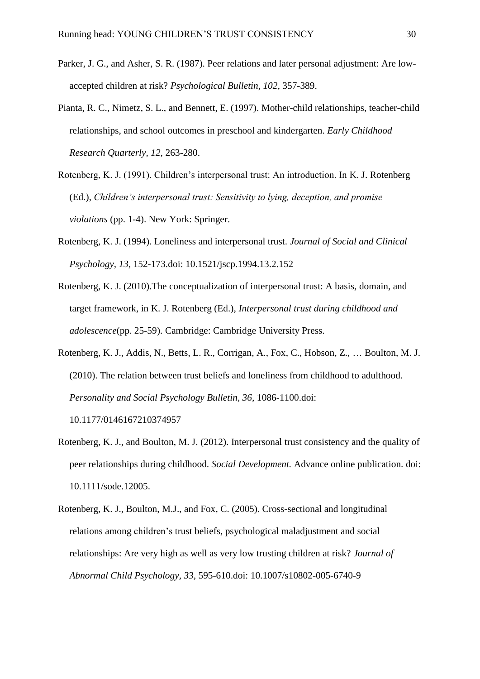- Parker, J. G., and Asher, S. R. (1987). Peer relations and later personal adjustment: Are lowaccepted children at risk? *Psychological Bulletin, 102,* 357-389.
- Pianta, R. C., Nimetz, S. L., and Bennett, E. (1997). Mother-child relationships, teacher-child relationships, and school outcomes in preschool and kindergarten. *Early Childhood Research Quarterly, 12,* 263-280.
- Rotenberg, K. J. (1991). Children's interpersonal trust: An introduction. In K. J. Rotenberg (Ed.), *Children's interpersonal trust: Sensitivity to lying, deception, and promise violations* (pp. 1-4). New York: Springer.
- Rotenberg, K. J. (1994). Loneliness and interpersonal trust. *Journal of Social and Clinical Psychology, 13,* 152-173.doi: 10.1521/jscp.1994.13.2.152
- Rotenberg, K. J. (2010).The conceptualization of interpersonal trust: A basis, domain, and target framework, in K. J. Rotenberg (Ed.), *Interpersonal trust during childhood and adolescence*(pp. 25-59). Cambridge: Cambridge University Press.
- Rotenberg, K. J., Addis, N., Betts, L. R., Corrigan, A., Fox, C., Hobson, Z., … Boulton, M. J. (2010). The relation between trust beliefs and loneliness from childhood to adulthood. *Personality and Social Psychology Bulletin, 36,* 1086-1100.doi:

10.1177/0146167210374957

- Rotenberg, K. J., and Boulton, M. J. (2012). Interpersonal trust consistency and the quality of peer relationships during childhood. *Social Development.* Advance online publication. doi: 10.1111/sode.12005.
- Rotenberg, K. J., Boulton, M.J., and Fox, C. (2005). Cross-sectional and longitudinal relations among children's trust beliefs, psychological maladjustment and social relationships: Are very high as well as very low trusting children at risk? *Journal of Abnormal Child Psychology, 33,* 595-610.doi: 10.1007/s10802-005-6740-9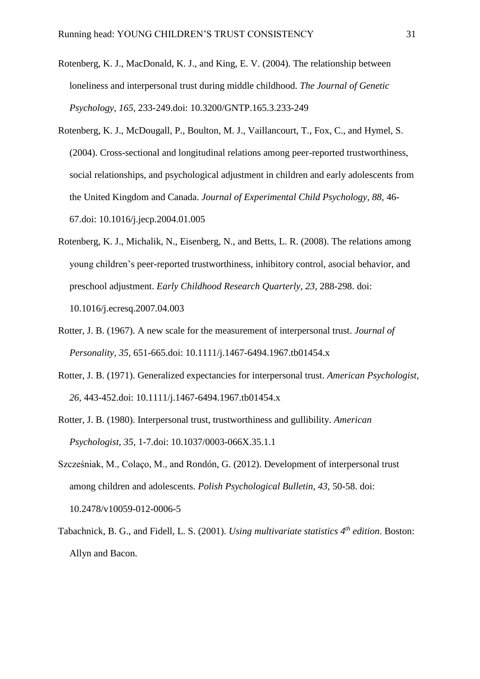- Rotenberg, K. J., MacDonald, K. J., and King, E. V. (2004). The relationship between loneliness and interpersonal trust during middle childhood. *The Journal of Genetic Psychology, 165,* 233-249.doi: 10.3200/GNTP.165.3.233-249
- Rotenberg, K. J., McDougall, P., Boulton, M. J., Vaillancourt, T., Fox, C., and Hymel, S. (2004). Cross-sectional and longitudinal relations among peer-reported trustworthiness, social relationships, and psychological adjustment in children and early adolescents from the United Kingdom and Canada. *Journal of Experimental Child Psychology, 88,* 46- 67.doi: 10.1016/j.jecp.2004.01.005
- Rotenberg, K. J., Michalik, N., Eisenberg, N., and Betts, L. R. (2008). The relations among young children's peer-reported trustworthiness, inhibitory control, asocial behavior, and preschool adjustment. *Early Childhood Research Quarterly, 23,* 288-298. doi: 10.1016/j.ecresq.2007.04.003
- Rotter, J. B. (1967). A new scale for the measurement of interpersonal trust. *Journal of Personality, 35,* 651-665.doi: 10.1111/j.1467-6494.1967.tb01454.x
- Rotter, J. B. (1971). Generalized expectancies for interpersonal trust. *American Psychologist, 26,* 443-452.doi: 10.1111/j.1467-6494.1967.tb01454.x
- Rotter, J. B. (1980). Interpersonal trust, trustworthiness and gullibility. *American Psychologist, 35,* 1-7.doi: 10.1037/0003-066X.35.1.1
- Szcześniak, M., Colaço, M., and Rondón, G. (2012). Development of interpersonal trust among children and adolescents. *Polish Psychological Bulletin, 43,* 50-58. doi: 10.2478/v10059-012-0006-5
- Tabachnick, B. G., and Fidell, L. S. (2001). *Using multivariate statistics 4 th edition*. Boston: Allyn and Bacon.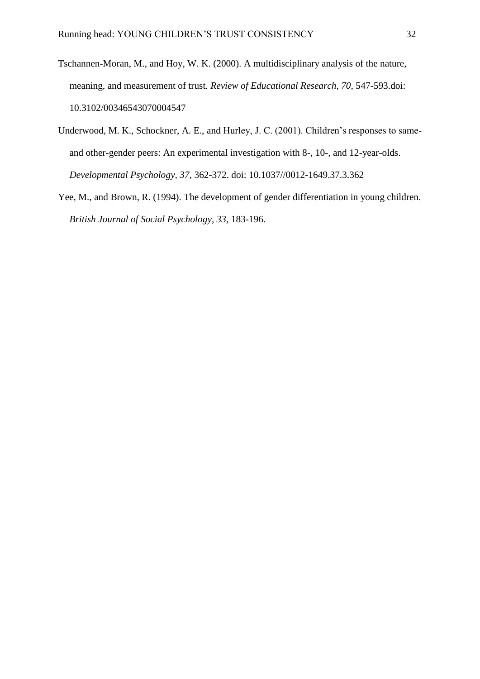- Tschannen-Moran, M., and Hoy, W. K. (2000). A multidisciplinary analysis of the nature, meaning, and measurement of trust. *Review of Educational Research, 70,* 547-593.doi: 10.3102/00346543070004547
- Underwood, M. K., Schockner, A. E., and Hurley, J. C. (2001). Children's responses to sameand other-gender peers: An experimental investigation with 8-, 10-, and 12-year-olds. *Developmental Psychology, 37,* 362-372. doi: 10.1037//0012-1649.37.3.362
- Yee, M., and Brown, R. (1994). The development of gender differentiation in young children. *British Journal of Social Psychology, 33,* 183-196.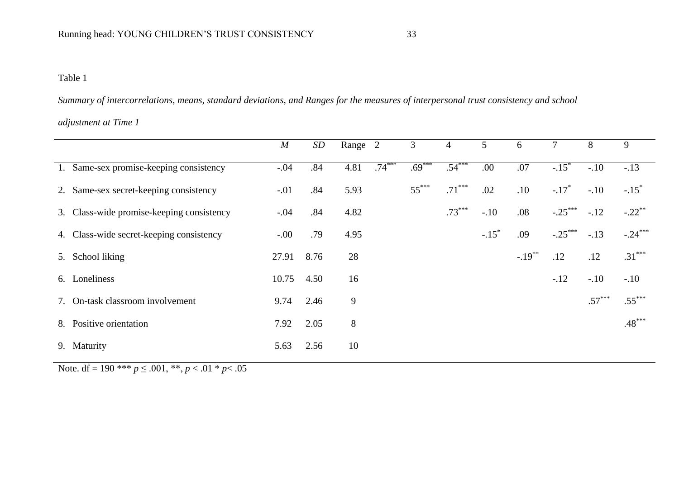## Table 1

*Summary of intercorrelations, means, standard deviations, and Ranges for the measures of interpersonal trust consistency and school* 

## *adjustment at Time 1*

|                                           | $\boldsymbol{M}$ | SD   | Range 2 |          | 3        | $\overline{4}$ | 5                   | 6         | 7                   | 8        | 9                   |
|-------------------------------------------|------------------|------|---------|----------|----------|----------------|---------------------|-----------|---------------------|----------|---------------------|
| 1. Same-sex promise-keeping consistency   | $-.04$           | .84  | 4.81    | $.74***$ | $.69***$ | $.54***$       | .00                 | .07       | $-.15$ <sup>*</sup> | $-.10$   | $-.13$              |
| 2. Same-sex secret-keeping consistency    | $-.01$           | .84  | 5.93    |          | $55***$  | $.71***$       | .02                 | .10       | $-.17*$             | $-.10$   | $-.15$ <sup>*</sup> |
| 3. Class-wide promise-keeping consistency | $-.04$           | .84  | 4.82    |          |          | $.73***$       | $-.10$              | .08       | $-.25***$           | $-.12$   | $-.22$ **           |
| 4. Class-wide secret-keeping consistency  | $-0.00$          | .79  | 4.95    |          |          |                | $-.15$ <sup>*</sup> | .09       | $-.25***$           | $-.13$   | $-.24***$           |
| 5. School liking                          | 27.91            | 8.76 | 28      |          |          |                |                     | $-.19***$ | .12                 | .12      | $.31***$            |
| 6. Loneliness                             | 10.75            | 4.50 | 16      |          |          |                |                     |           | $-.12$              | $-.10$   | $-.10$              |
| 7. On-task classroom involvement          | 9.74             | 2.46 | 9       |          |          |                |                     |           |                     | $.57***$ | $.55***$            |
| 8. Positive orientation                   | 7.92             | 2.05 | 8       |          |          |                |                     |           |                     |          | $.48***$            |
| 9. Maturity                               | 5.63             | 2.56 | 10      |          |          |                |                     |           |                     |          |                     |

Note. df = 190 \*\*\*  $p \le 0.001$ , \*\*,  $p < 0.01$  \*  $p < 0.05$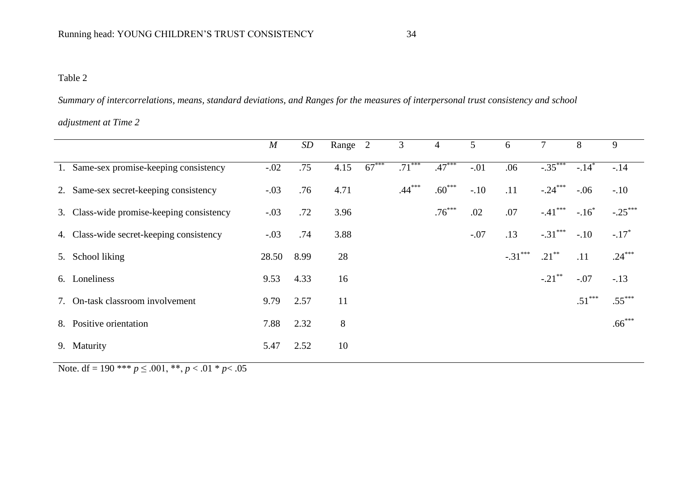## Table 2

*Summary of intercorrelations, means, standard deviations, and Ranges for the measures of interpersonal trust consistency and school* 

## *adjustment at Time 2*

|                                           | $\boldsymbol{M}$ | SD   | Range 2 |         | 3        | $\overline{4}$ | 5      | 6         | 7         | 8        | 9                   |
|-------------------------------------------|------------------|------|---------|---------|----------|----------------|--------|-----------|-----------|----------|---------------------|
| 1. Same-sex promise-keeping consistency   | $-.02$           | .75  | 4.15    | $67***$ | $.71***$ | $.47***$       | $-.01$ | .06       | $-.35***$ | $-.14*$  | $-14$               |
| 2. Same-sex secret-keeping consistency    | $-.03$           | .76  | 4.71    |         | $.44***$ | $.60***$       | $-.10$ | .11       | $-.24***$ | $-.06$   | $-.10$              |
| 3. Class-wide promise-keeping consistency | $-.03$           | .72  | 3.96    |         |          | $.76***$       | .02    | .07       | $-.41***$ | $-.16*$  | $-.25***$           |
| 4. Class-wide secret-keeping consistency  | $-.03$           | .74  | 3.88    |         |          |                | $-.07$ | .13       | $-.31***$ | $-.10$   | $-.17$ <sup>*</sup> |
| 5. School liking                          | 28.50            | 8.99 | 28      |         |          |                |        | $-.31***$ | $.21***$  | .11      | $.24***$            |
| 6. Loneliness                             | 9.53             | 4.33 | 16      |         |          |                |        |           | $-.21***$ | $-.07$   | $-.13$              |
| 7. On-task classroom involvement          | 9.79             | 2.57 | 11      |         |          |                |        |           |           | $.51***$ | $.55***$            |
| 8. Positive orientation                   | 7.88             | 2.32 | $8\,$   |         |          |                |        |           |           |          | $.66***$            |
| 9. Maturity                               | 5.47             | 2.52 | 10      |         |          |                |        |           |           |          |                     |

Note. df = 190 \*\*\*  $p \le 0.001$ , \*\*,  $p < 0.01$  \*  $p < 0.05$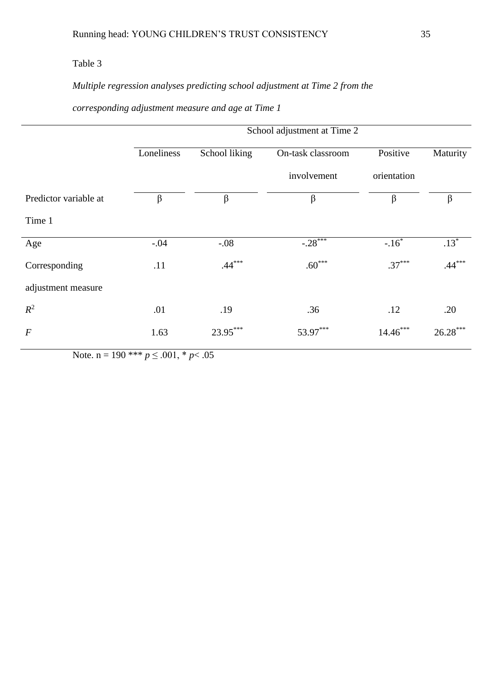## Table 3

# *Multiple regression analyses predicting school adjustment at Time 2 from the*

## *corresponding adjustment measure and age at Time 1*

|                       | Loneliness | School liking | On-task classroom | Positive    | Maturity   |
|-----------------------|------------|---------------|-------------------|-------------|------------|
|                       |            |               | involvement       | orientation |            |
| Predictor variable at | β          | β             | $\beta$           | β           | β          |
| Time 1                |            |               |                   |             |            |
| Age                   | $-.04$     | $-.08$        | $-.28***$         | $-.16*$     | $.13*$     |
| Corresponding         | .11        | $.44***$      | $.60***$          | $.37***$    | $.44***$   |
| adjustment measure    |            |               |                   |             |            |
| $R^2$                 | .01        | .19           | .36               | .12         | .20        |
| $\boldsymbol{F}$      | 1.63       | 23.95***      | 53.97***          | $14.46***$  | $26.28***$ |
|                       |            |               |                   |             |            |

Note. n = 190 \*\*\*  $p \le 0.001$ , \*  $p < 0.05$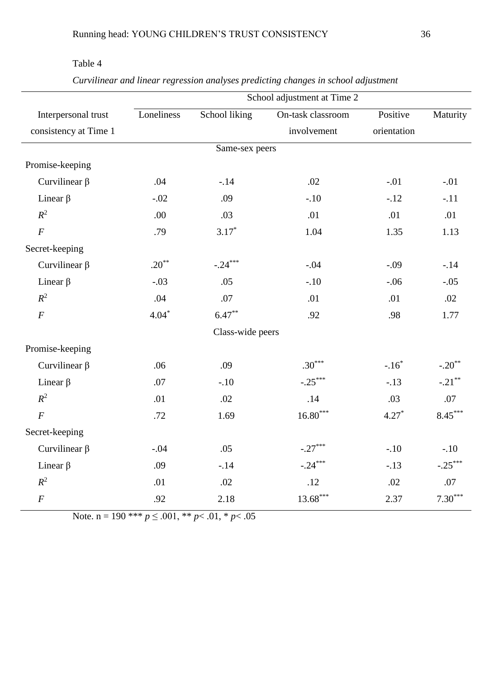|                       | School adjustment at Time 2 |                  |                        |             |           |  |  |
|-----------------------|-----------------------------|------------------|------------------------|-------------|-----------|--|--|
| Interpersonal trust   | Loneliness                  | School liking    | On-task classroom      | Positive    | Maturity  |  |  |
| consistency at Time 1 |                             |                  | involvement            | orientation |           |  |  |
|                       |                             | Same-sex peers   |                        |             |           |  |  |
| Promise-keeping       |                             |                  |                        |             |           |  |  |
| Curvilinear $\beta$   | .04                         | $-.14$           | .02                    | $-.01$      | $-.01$    |  |  |
| Linear $\beta$        | $-.02$                      | .09              | $-.10$                 | $-.12$      | $-.11$    |  |  |
| $R^2$                 | .00                         | .03              | .01                    | .01         | .01       |  |  |
| $\boldsymbol{F}$      | .79                         | $3.17*$          | 1.04                   | 1.35        | 1.13      |  |  |
| Secret-keeping        |                             |                  |                        |             |           |  |  |
| Curvilinear $\beta$   | $.20***$                    | $-.24***$        | $-.04$                 | $-.09$      | $-.14$    |  |  |
| Linear $\beta$        | $-.03$                      | .05              | $-.10$                 | $-.06$      | $-.05$    |  |  |
| $R^2$                 | .04                         | $.07\,$          | .01                    | .01         | .02       |  |  |
| $\overline{F}$        | $4.04*$                     | $6.47***$        | .92                    | .98         | 1.77      |  |  |
|                       |                             | Class-wide peers |                        |             |           |  |  |
| Promise-keeping       |                             |                  |                        |             |           |  |  |
| Curvilinear $\beta$   | .06                         | .09              | $.30***$               | $-.16*$     | $-.20**$  |  |  |
| Linear $\beta$        | .07                         | $-.10$           | $-.25***$              | $-.13$      | $-.21***$ |  |  |
| $R^2$                 | .01                         | .02              | .14                    | .03         | .07       |  |  |
| $\overline{F}$        | .72                         | 1.69             | $16.80^{\ast\ast\ast}$ | $4.27*$     | $8.45***$ |  |  |
| Secret-keeping        |                             |                  |                        |             |           |  |  |
| Curvilinear $\beta$   | $-.04$                      | .05              | $-.27***$              | $-.10$      | $-.10$    |  |  |
| Linear $\beta$        | .09                         | $-.14$           | $-.24***$              | $-.13$      | $-.25***$ |  |  |
| $R^2$                 | .01                         | .02              | .12                    | .02         | .07       |  |  |
| $\boldsymbol{F}$      | .92                         | 2.18             | $13.68***$             | 2.37        | $7.30***$ |  |  |

| Table |  |
|-------|--|
|-------|--|

*Curvilinear and linear regression analyses predicting changes in school adjustment* 

Note. n = 190<sup>\*\*\*</sup>  $p \le 0.001$ , \*\*  $p < 0.01$ , \*  $p < 0.05$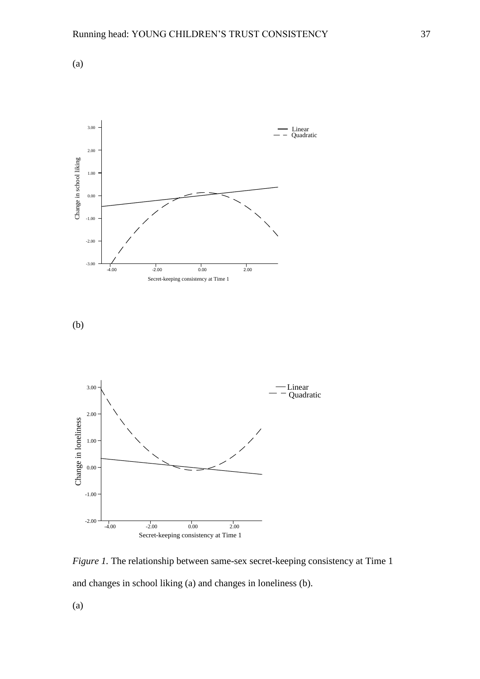





-4.00 -2.00 0.00 2.00

Secret-keeping consistency at Time 1

(a)

-1.00

-2.00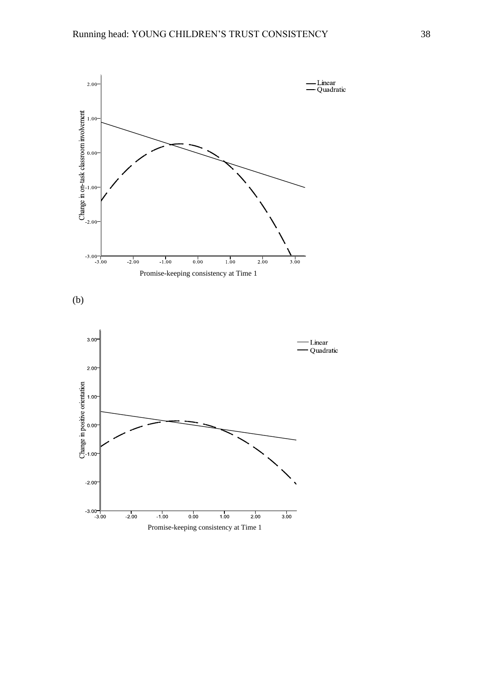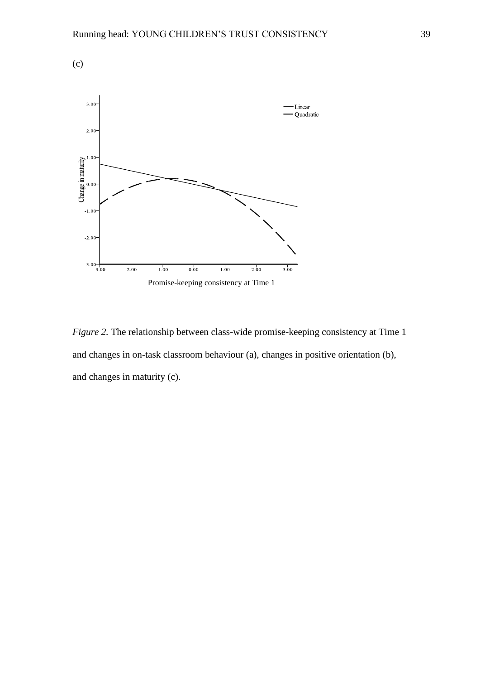

*Figure 2.* The relationship between class-wide promise-keeping consistency at Time 1 and changes in on-task classroom behaviour (a), changes in positive orientation (b), and changes in maturity (c).